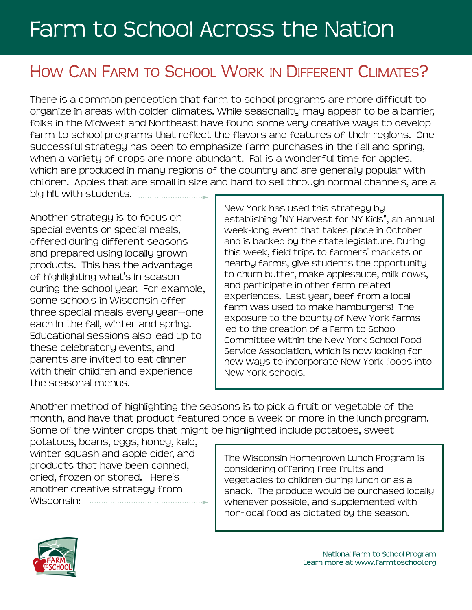## Farm to School Across the Nation

## HOW CAN FARM TO SCHOOL WORK IN DIFFERENT CLIMATES?

There is a common perception that farm to school programs are more difficult to organize in areas with colder climates. While seasonality may appear to be a barrier, folks in the Midwest and Northeast have found some very creative ways to develop farm to school programs that reflect the flavors and features of their regions. One successful strategy has been to emphasize farm purchases in the fall and spring, when a variety of crops are more abundant. Fall is a wonderful time for apples, which are produced in many regions of the country and are generally popular with children. Apples that are small in size and hard to sell through normal channels, are a big hit with students.

Another strategy is to focus on special events or special meals, offered during different seasons and prepared using locally grown products. This has the advantage of highlighting what's in season during the school year. For example, some schools in Wisconsin offer three special meals every year—one each in the fall, winter and spring. Educational sessions also lead up to these celebratory events, and parents are invited to eat dinner with their children and experience the seasonal menus.

New York has used this strategy by establishing "NY Harvest for NY Kids", an annual week-long event that takes place in October and is backed by the state legislature. During this week, field trips to farmers' markets or nearby farms, give students the opportunity to churn butter, make applesauce, milk cows, and participate in other farm-related experiences. Last year, beef from a local farm was used to make hamburgers! The exposure to the bounty of New York farms led to the creation of a Farm to School Committee within the New York School Food Service Association, which is now looking for new ways to incorporate New York foods into New York schools.

Another method of highlighting the seasons is to pick a fruit or vegetable of the month, and have that product featured once a week or more in the lunch program. Some of the winter crops that might be highlighted include potatoes, sweet

potatoes, beans, eggs, honey, kale, winter squash and apple cider, and products that have been canned, dried, frozen or stored. Here's another creative strategy from Wisconsin:

The Wisconsin Homegrown Lunch Program is considering offering free fruits and vegetables to children during lunch or as a snack. The produce would be purchased locally whenever possible, and supplemented with non-local food as dictated by the season.